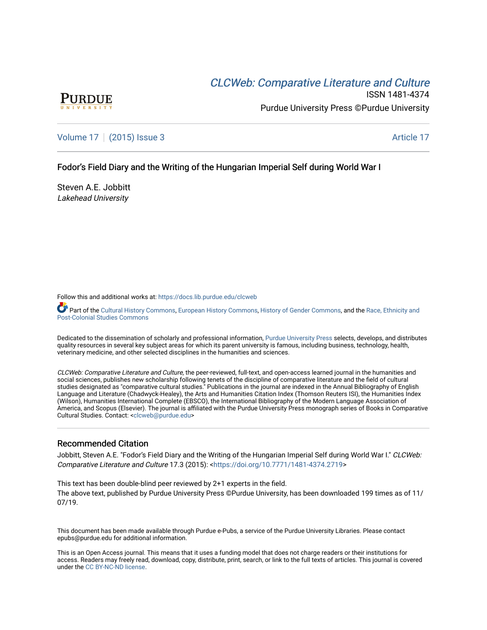# CLCW[eb: Comparative Liter](https://docs.lib.purdue.edu/clcweb)ature and Culture



ISSN 1481-4374 Purdue University Press ©Purdue University

[Volume 17](https://docs.lib.purdue.edu/clcweb/vol17) | [\(2015\) Issue 3](https://docs.lib.purdue.edu/clcweb/vol17/iss3) Article 17

## Fodor's Field Diary and the Writing of the Hungarian Imperial Self during World War I

Steven A.E. Jobbitt Lakehead University

Follow this and additional works at: [https://docs.lib.purdue.edu/clcweb](https://docs.lib.purdue.edu/clcweb?utm_source=docs.lib.purdue.edu%2Fclcweb%2Fvol17%2Fiss3%2F17&utm_medium=PDF&utm_campaign=PDFCoverPages)

Part of the [Cultural History Commons,](http://network.bepress.com/hgg/discipline/496?utm_source=docs.lib.purdue.edu%2Fclcweb%2Fvol17%2Fiss3%2F17&utm_medium=PDF&utm_campaign=PDFCoverPages) [European History Commons](http://network.bepress.com/hgg/discipline/492?utm_source=docs.lib.purdue.edu%2Fclcweb%2Fvol17%2Fiss3%2F17&utm_medium=PDF&utm_campaign=PDFCoverPages), [History of Gender Commons,](http://network.bepress.com/hgg/discipline/498?utm_source=docs.lib.purdue.edu%2Fclcweb%2Fvol17%2Fiss3%2F17&utm_medium=PDF&utm_campaign=PDFCoverPages) and the Race, Ethnicity and [Post-Colonial Studies Commons](http://network.bepress.com/hgg/discipline/566?utm_source=docs.lib.purdue.edu%2Fclcweb%2Fvol17%2Fiss3%2F17&utm_medium=PDF&utm_campaign=PDFCoverPages) 

Dedicated to the dissemination of scholarly and professional information, [Purdue University Press](http://www.thepress.purdue.edu/) selects, develops, and distributes quality resources in several key subject areas for which its parent university is famous, including business, technology, health, veterinary medicine, and other selected disciplines in the humanities and sciences.

CLCWeb: Comparative Literature and Culture, the peer-reviewed, full-text, and open-access learned journal in the humanities and social sciences, publishes new scholarship following tenets of the discipline of comparative literature and the field of cultural studies designated as "comparative cultural studies." Publications in the journal are indexed in the Annual Bibliography of English Language and Literature (Chadwyck-Healey), the Arts and Humanities Citation Index (Thomson Reuters ISI), the Humanities Index (Wilson), Humanities International Complete (EBSCO), the International Bibliography of the Modern Language Association of America, and Scopus (Elsevier). The journal is affiliated with the Purdue University Press monograph series of Books in Comparative Cultural Studies. Contact: [<clcweb@purdue.edu](mailto:clcweb@purdue.edu)>

## Recommended Citation

Jobbitt, Steven A.E. "Fodor's Field Diary and the Writing of the Hungarian Imperial Self during World War I." CLCWeb: Comparative Literature and Culture 17.3 (2015): <<https://doi.org/10.7771/1481-4374.2719>>

This text has been double-blind peer reviewed by 2+1 experts in the field. The above text, published by Purdue University Press ©Purdue University, has been downloaded 199 times as of 11/ 07/19.

This document has been made available through Purdue e-Pubs, a service of the Purdue University Libraries. Please contact epubs@purdue.edu for additional information.

This is an Open Access journal. This means that it uses a funding model that does not charge readers or their institutions for access. Readers may freely read, download, copy, distribute, print, search, or link to the full texts of articles. This journal is covered under the [CC BY-NC-ND license.](https://creativecommons.org/licenses/by-nc-nd/4.0/)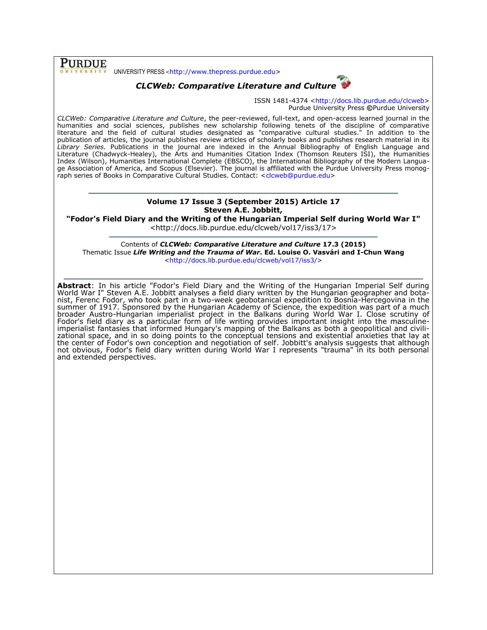UNIVERSITY PRESS <[http://www.thepress.purdue.edu>](http://www.thepress.purdue.edu/)

**PURDUE** 



ISSN 1481-4374 [<http://docs.lib.purdue.edu/clcweb>](http://docs.lib.purdue.edu/clcweb) Purdue University Press **©**Purdue University

*CLCWeb: Comparative Literature and Culture*, the peer-reviewed, full-text, and open-access learned journal in the humanities and social sciences, publishes new scholarship following tenets of the discipline of comparative literature and the field of cultural studies designated as "comparative cultural studies." In addition to the publication of articles, the journal publishes review articles of scholarly books and publishes research material in its *Library Series.* Publications in the journal are indexed in the Annual Bibliography of English Language and Literature (Chadwyck-Healey), the Arts and Humanities Citation Index (Thomson Reuters ISI), the Humanities Index (Wilson), Humanities International Complete (EBSCO), the International Bibliography of the Modern Language Association of America, and Scopus (Elsevier). The journal is affiliated with the Purdue University Press monog-raph series of Books in Comparative Cultural Studies. Contact: [<clcweb@purdue.edu>](mailto:clcweb@purdue.edu)

### **Volume 17 Issue 3 (September 2015) Article 17 Steven A.E. Jobbitt,**

**"Fodor's Field Diary and the Writing of the Hungarian Imperial Self during World War I"** <http://docs.lib.purdue.edu/clcweb/vol17/iss3/17>

Contents of *CLCWeb: Comparative Literature and Culture* **17.3 (2015)** Thematic Issue *Life Writing and the Trauma of War***. Ed. Louise O. Vasvári and I-Chun Wang** [<http://docs.lib.purdue.edu/clcweb/vol17/iss3/>](http://docs.lib.purdue.edu/clcweb/vol17/iss3/)

**Abstract**: In his article "Fodor's Field Diary and the Writing of the Hungarian Imperial Self during World War I" Steven A.E. Jobbitt analyses a field diary written by the Hungarian geographer and botanist, Ferenc Fodor, who took part in a two-week geobotanical expedition to Bosnia-Hercegovina in the summer of 1917. Sponsored by the Hungarian Academy of Science, the expedition was part of a much broader Austro-Hungarian imperialist project in the Balkans during World War I. Close scrutiny of Fodor's field diary as a particular form of life writing provides important insight into the masculineimperialist fantasies that informed Hungary's mapping of the Balkans as both a geopolitical and civilizational space, and in so doing points to the conceptual tensions and existential anxieties that lay at the center of Fodor's own conception and negotiation of self. Jobbitt's analysis suggests that although not obvious, Fodor's field diary written during World War I represents "trauma" in its both personal and extended perspectives.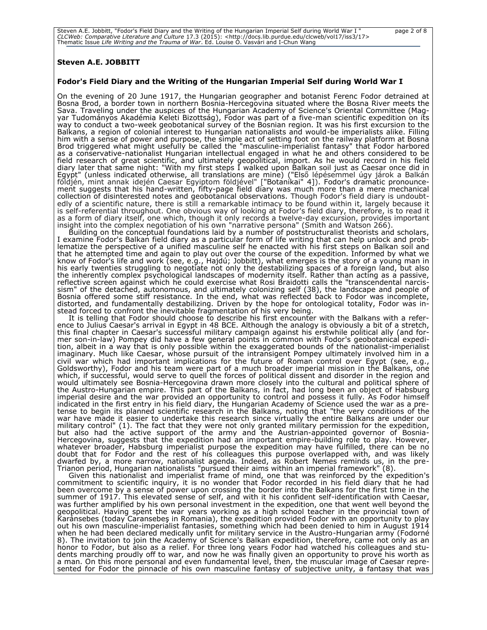| " Steven A.E. Jobbitt, "Fodor's Field Diary and the Writing of the Hungarian Imperial Self during World War I                   | page 2 of 8 |
|---------------------------------------------------------------------------------------------------------------------------------|-------------|
| CLCWeb: Comparative Literature and Culture 17.3 (2015): <http: 17="" clcweb="" docs.lib.purdue.edu="" iss3="" vol17=""></http:> |             |
| Thematic Issue <i>Life Writing and the Trauma of War</i> . Ed. Louise O. Vasvári and I-Chun Wang                                |             |

#### **Steven A.E. JOBBITT**

#### **Fodor's Field Diary and the Writing of the Hungarian Imperial Self during World War I**

On the evening of 20 June 1917, the Hungarian geographer and botanist Ferenc Fodor detrained at Bosna Brod, a border town in northern Bosnia-Hercegovina situated where the Bosna River meets the Sava. Traveling under the auspices of the Hungarian Academy of Science's Oriental Committee (Magyar Tudományos Akadémia Keleti Bizottság), Fodor was part of a five-man scientific expedition on its way to conduct a two-week geobotanical survey of the Bosnian region. It was his first excursion to the Balkans, a region of colonial interest to Hungarian nationalists and would-be imperialists alike. Filling him with a sense of power and purpose, the simple act of setting foot on the railway platform at Bosna Brod triggered what might usefully be called the "masculine-imperialist fantasy" that Fodor harbored as a conservative-nationalist Hungarian intellectual engaged in what he and others considered to be field research of great scientific, and ultimately geopolitical, import. As he would record in his field diary later that same night: "With my first steps I walked upon Balkan soil just as Caesar once did in Egypt" (unless indicated otherwise, all translations are mine) ("Első lépésemmel úgy járok a Balkán földjén, mint annak idején Caesar Egyiptom földjével" ["Botanikai" 4]). Fodor's dramatic pronouncement suggests that his hand-written, fifty-page field diary was much more than a mere mechanical collection of disinterested notes and geobotanical observations. Though Fodor's field diary is undoubtedly of a scientific nature, there is still a remarkable intimacy to be found within it, largely because it is self-referential throughout. One obvious way of looking at Fodor's field diary, therefore, is to read it as a form of diary itself, one which, though it only records a twelve-day excursion, provides important insight into the complex negotiation of his own "narrative persona" (Smith and Watson 266).

Building on the conceptual foundations laid by a number of poststructuralist theorists and scholars, I examine Fodor's Balkan field diary as a particular form of life writing that can help unlock and problematize the perspective of a unified masculine self he enacted with his first steps on Balkan soil and that he attempted time and again to play out over the course of the expedition. Informed by what we know of Fodor's life and work (see, e.g., Hajdú; Jobbitt), what emerges is the story of a young man in his early twenties struggling to negotiate not only the destabilizing spaces of a foreign land, but also the inherently complex psychological landscapes of modernity itself. Rather than acting as a passive, reflective screen against which he could exercise what Rosi Braidotti calls the "transcendental narcissism" of the detached, autonomous, and ultimately colonizing self (38), the landscape and people of Bosnia offered some stiff resistance. In the end, what was reflected back to Fodor was incomplete, distorted, and fundamentally destabilizing. Driven by the hope for ontological totality, Fodor was instead forced to confront the inevitable fragmentation of his very being.

It is telling that Fodor should choose to describe his first encounter with the Balkans with a reference to Julius Caesar's arrival in Egypt in 48 BCE. Although the analogy is obviously a bit of a stretch, this final chapter in Caesar's successful military campaign against his erstwhile political ally (and former son-in-law) Pompey did have a few general points in common with Fodor's geobotanical expedition, albeit in a way that is only possible within the exaggerated bounds of the nationalist-imperialist imaginary. Much like Caesar, whose pursuit of the intransigent Pompey ultimately involved him in a civil war which had important implications for the future of Roman control over Egypt (see, e.g., Goldsworthy), Fodor and his team were part of a much broader imperial mission in the Balkans, one which, if successful, would serve to quell the forces of political dissent and disorder in the region and would ultimately see Bosnia-Hercegovina drawn more closely into the cultural and political sphere of the Austro-Hungarian empire. This part of the Balkans, in fact, had long been an object of Habsburg imperial desire and the war provided an opportunity to control and possess it fully. As Fodor himself indicated in the first entry in his field diary, the Hungarian Academy of Science used the war as a pretense to begin its planned scientific research in the Balkans, noting that "the very conditions of the war have made it easier to undertake this research since virtually the entire Balkans are under our military control" (1). The fact that they were not only granted military permission for the expedition, but also had the active support of the army and the Austrian-appointed governor of Bosnia-Hercegovina, suggests that the expedition had an important empire-building role to play. However, whatever broader, Habsburg imperialist purpose the expedition may have fulfilled, there can be no doubt that for Fodor and the rest of his colleagues this purpose overlapped with, and was likely dwarfed by, a more narrow, nationalist agenda. Indeed, as Robert Nemes reminds us, in the pre-Trianon period, Hungarian nationalists "pursued their aims within an imperial framework" (8).

Given this nationalist and imperialist frame of mind, one that was reinforced by the expedition's commitment to scientific inquiry, it is no wonder that Fodor recorded in his field diary that he had been overcome by a sense of power upon crossing the border into the Balkans for the first time in the summer of 1917. This elevated sense of self, and with it his confident self-identification with Caesar, was further amplified by his own personal investment in the expedition, one that went well beyond the geopolitical. Having spent the war years working as a high school teacher in the provincial town of Karánsebes (today Caransebeş in Romania), the expedition provided Fodor with an opportunity to play out his own masculine-imperialist fantasies, something which had been denied to him in August 1914 when he had been declared medically unfit for military service in the Austro-Hungarian army (Fodorné 8). The invitation to join the Academy of Science's Balkan expedition, therefore, came not only as an honor to Fodor, but also as a relief. For three long years Fodor had watched his colleagues and students marching proudly off to war, and now he was finally given an opportunity to prove his worth as a man. On this more personal and even fundamental level, then, the muscular image of Caesar represented for Fodor the pinnacle of his own masculine fantasy of subjective unity, a fantasy that was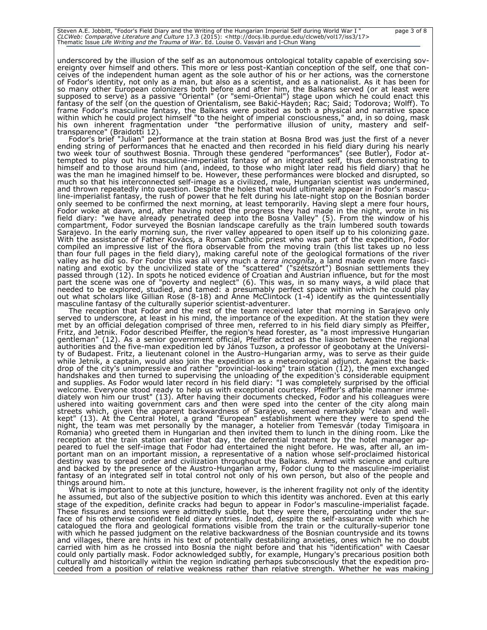| " Steven A.E. Jobbitt, "Fodor's Field Diary and the Writing of the Hungarian Imperial Self during World War I                   | page 3 of 8 |
|---------------------------------------------------------------------------------------------------------------------------------|-------------|
| CLCWeb: Comparative Literature and Culture 17.3 (2015): <http: 17="" clcweb="" docs.lib.purdue.edu="" iss3="" vol17=""></http:> |             |
| Thematic Issue Life Writing and the Trauma of War. Ed. Louise O. Vasvári and I-Chun Wang                                        |             |

underscored by the illusion of the self as an autonomous ontological totality capable of exercising sovereignty over himself and others. This more or less post-Kantian conception of the self, one that conceives of the independent human agent as the sole author of his or her actions, was the cornerstone of Fodor's identity, not only as a man, but also as a scientist, and as a nationalist. As it has been for so many other European colonizers both before and after him, the Balkans served (or at least were supposed to serve) as a passive "Oriental" (or "semi-Oriental") stage upon which he could enact this fantasy of the self (on the question of Orientalism, see Bakić-Hayden; Rac; Said; Todorova; Wolff). To frame Fodor's masculine fantasy, the Balkans were posited as both a physical and narrative space within which he could project himself "to the height of imperial consciousness," and, in so doing, mask his own inherent fragmentation under "the performative illusion of unity, mastery and selftransparence" (Braidotti 12).

Fodor's brief "Julian" performance at the train station at Bosna Brod was just the first of a never ending string of performances that he enacted and then recorded in his field diary during his nearly two week tour of southwest Bosnia. Through these gendered "performances" (see Butler), Fodor attempted to play out his masculine-imperialist fantasy of an integrated self, thus demonstrating to himself and to those around him (and, indeed, to those who might later read his field diary) that he was the man he imagined himself to be. However, these performances were blocked and disrupted, so much so that his interconnected self-image as a civilized, male, Hungarian scientist was undermined, and thrown repeatedly into question. Despite the holes that would ultimately appear in Fodor's masculine-imperialist fantasy, the rush of power that he felt during his late-night stop on the Bosnian border only seemed to be confirmed the next morning, at least temporarily. Having slept a mere four hours, Fodor woke at dawn, and, after having noted the progress they had made in the night, wrote in his field diary: "we have already penetrated deep into the Bosna Valley" (5). From the window of his compartment, Fodor surveyed the Bosnian landscape carefully as the train lumbered south towards Sarajevo. In the early morning sun, the river valley appeared to open itself up to his colonizing gaze. With the assistance of Father Kovács, a Roman Catholic priest who was part of the expedition, Fodor compiled an impressive list of the flora observable from the moving train (this list takes up no less than four full pages in the field diary), making careful note of the geological formations of the river valley as he did so. For Fodor this was all very much a *terra incognita*, a land made even more fascinating and exotic by the uncivilized state of the "scattered" ("szétszórt") Bosnian settlements they passed through (12). In spots he noticed evidence of Croatian and Austrian influence, but for the most part the scene was one of "poverty and neglect" (6). This was, in so many ways, a wild place that needed to be explored, studied, and tamed: a presumably perfect space within which he could play out what scholars like Gillian Rose (8-18) and Anne McClintock (1-4) identify as the quintessentially masculine fantasy of the culturally superior scientist-adventurer.

The reception that Fodor and the rest of the team received later that morning in Sarajevo only served to underscore, at least in his mind, the importance of the expedition. At the station they were met by an official delegation comprised of three men, referred to in his field diary simply as Pfeiffer, Fritz, and Jetnik. Fodor described Pfeiffer, the region's head forester, as "a most impressive Hungarian gentleman" (12). As a senior government official, Pfeiffer acted as the liaison between the regional authorities and the five-man expedition led by János Tuzson, a professor of geobotany at the University of Budapest. Fritz, a lieutenant colonel in the Austro-Hungarian army, was to serve as their guide while Jetnik, a captain, would also join the expedition as a meteorological adjunct. Against the backdrop of the city's unimpressive and rather "provincial-looking" train station (12), the men exchanged handshakes and then turned to supervising the unloading of the expedition's considerable equipment and supplies. As Fodor would later record in his field diary: "I was completely surprised by the official welcome. Everyone stood ready to help us with exceptional courtesy. Pfeiffer's affable manner immediately won him our trust" (13). After having their documents checked, Fodor and his colleagues were ushered into waiting government cars and then were sped into the center of the city along main streets which, given the apparent backwardness of Sarajevo, seemed remarkably "clean and wellkept" (13). At the Central Hotel, a grand "European" establishment where they were to spend the night, the team was met personally by the manager, a hotelier from Temesvár (today Timişoara in Romania) who greeted them in Hungarian and then invited them to lunch in the dining room. Like the reception at the train station earlier that day, the deferential treatment by the hotel manager appeared to fuel the self-image that Fodor had entertained the night before. He was, after all, an important man on an important mission, a representative of a nation whose self-proclaimed historical destiny was to spread order and civilization throughout the Balkans. Armed with science and culture and backed by the presence of the Austro-Hungarian army, Fodor clung to the masculine-imperialist fantasy of an integrated self in total control not only of his own person, but also of the people and things around him.

What is important to note at this juncture, however, is the inherent fragility not only of the identity he assumed, but also of the subjective position to which this identity was anchored. Even at this early stage of the expedition, definite cracks had begun to appear in Fodor's masculine-imperialist façade. These fissures and tensions were admittedly subtle, but they were there, percolating under the surface of his otherwise confident field diary entries. Indeed, despite the self-assurance with which he catalogued the flora and geological formations visible from the train or the culturally-superior tone with which he passed judgment on the relative backwardness of the Bosnian countryside and its towns and villages, there are hints in his text of potentially destabilizing anxieties, ones which he no doubt carried with him as he crossed into Bosnia the night before and that his "identification" with Caesar could only partially mask. Fodor acknowledged subtly, for example, Hungary's precarious position both culturally and historically within the region indicating perhaps subconsciously that the expedition proceeded from a position of relative weakness rather than relative strength. Whether he was making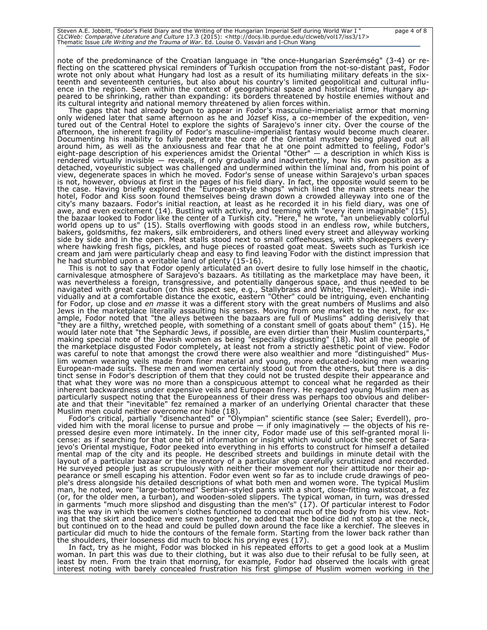Steven A.E. Jobbitt, "Fodor's Field Diary and the Writing of the Hungarian Imperial Self during World War I " page 4 of 8<br>*CLCWeb: Comparative Literature and Culture 17.3 (*2015): <http://docs.lib.purdue.edu/clcweb/vol17/i

note of the predominance of the Croatian language in "the once-Hungarian Szerémség" (3-4) or reflecting on the scattered physical reminders of Turkish occupation from the not-so-distant past, Fodor wrote not only about what Hungary had lost as a result of its humiliating military defeats in the sixteenth and seventeenth centuries, but also about his country's limited geopolitical and cultural influence in the region. Seen within the context of geographical space and historical time, Hungary appeared to be shrinking, rather than expanding: its borders threatened by hostile enemies without and its cultural integrity and national memory threatened by alien forces within.

The gaps that had already begun to appear in Fodor's masculine-imperialist armor that morning only widened later that same afternoon as he and József Kiss, a co-member of the expedition, ventured out of the Central Hotel to explore the sights of Sarajevo's inner city. Over the course of the afternoon, the inherent fragility of Fodor's masculine-imperialist fantasy would become much clearer. Documenting his inability to fully penetrate the core of the Oriental mystery being played out all around him, as well as the anxiousness and fear that he at one point admitted to feeling, Fodor's eight-page description of his experiences amidst the Oriental "Other" — a description in which Kiss is rendered virtually invisible — reveals, if only gradually and inadvertently, how his own position as a detached, voyeuristic subject was challenged and undermined within the liminal and, from his point of view, degenerate spaces in which he moved. Fodor's sense of unease within Sarajevo's urban spaces is not, however, obvious at first in the pages of his field diary. In fact, the opposite would seem to be the case. Having briefly explored the "European-style shops" which lined the main streets near the hotel, Fodor and Kiss soon found themselves being drawn down a crowded alleyway into one of the city's many bazaars. Fodor's initial reaction, at least as he recorded it in his field diary, was one of awe, and even excitement (14). Bustling with activity, and teeming with "every item imaginable" (15), the bazaar looked to Fodor like the center of a Turkish city. "Here," he wrote, "an unbelievably colorful world opens up to us" (15). Stalls overflowing with goods stood in an endless row, while butchers, bakers, goldsmiths, fez makers, silk embroiderers, and others lined every street and alleyway working side by side and in the open. Meat stalls stood next to small coffeehouses, with shopkeepers everywhere hawking fresh figs, pickles, and huge pieces of roasted goat meat. Sweets such as Turkish ice cream and jam were particularly cheap and easy to find leaving Fodor with the distinct impression that he had stumbled upon a veritable land of plenty (15-16).

This is not to say that Fodor openly articulated an overt desire to fully lose himself in the chaotic, carnivalesque atmosphere of Sarajevo's bazaars. As titillating as the marketplace may have been, it was nevertheless a foreign, transgressive, and potentially dangerous space, and thus needed to be navigated with great caution (on this aspect see, e.g., Stallybrass and White; Theweleit). While individually and at a comfortable distance the exotic, eastern "Other" could be intriguing, even enchanting for Fodor, up close and *en masse* it was a different story with the great numbers of Muslims and also Jews in the marketplace literally assaulting his senses. Moving from one market to the next, for example, Fodor noted that "the alleys between the bazaars are full of Muslims" adding derisively that "they are a filthy, wretched people, with something of a constant smell of goats about them" (15). He would later note that "the Sephardic Jews, if possible, are even dirtier than their Muslim counterparts," making special note of the Jewish women as being "especially disgusting" (18). Not all the people of the marketplace disgusted Fodor completely, at least not from a strictly aesthetic point of view. Fodor was careful to note that amongst the crowd there were also wealthier and more "distinguished" Muslim women wearing veils made from finer material and young, more educated-looking men wearing European-made suits. These men and women certainly stood out from the others, but there is a distinct sense in Fodor's description of them that they could not be trusted despite their appearance and that what they wore was no more than a conspicuous attempt to conceal what he regarded as their inherent backwardness under expensive veils and European finery. He regarded young Muslim men as particularly suspect noting that the Europeanness of their dress was perhaps too obvious and deliberate and that their "inevitable" fez remained a marker of an underlying Oriental character that these Muslim men could neither overcome nor hide (18).

Fodor's critical, partially "disenchanted" or "Olympian" scientific stance (see Saler; Everdell), provided him with the moral license to pursue and probe  $-$  if only imaginatively  $-$  the objects of his repressed desire even more intimately. In the inner city, Fodor made use of this self-granted moral license: as if searching for that one bit of information or insight which would unlock the secret of Sarajevo's Oriental mystique, Fodor peeked into everything in his efforts to construct for himself a detailed mental map of the city and its people. He described streets and buildings in minute detail with the layout of a particular bazaar or the inventory of a particular shop carefully scrutinized and recorded. He surveyed people just as scrupulously with neither their movement nor their attitude nor their appearance or smell escaping his attention. Fodor even went so far as to include crude drawings of people's dress alongside his detailed descriptions of what both men and women wore. The typical Muslim man, he noted, wore "large-bottomed" Serbian-styled pants with a short, close-fitting waistcoat, a fez (or, for the older men, a turban), and wooden-soled slippers. The typical woman, in turn, was dressed in garments "much more slipshod and disgusting than the men's" (17). Of particular interest to Fodor was the way in which the women's clothes functioned to conceal much of the body from his view. Noting that the skirt and bodice were sewn together, he added that the bodice did not stop at the neck, but continued on to the head and could be pulled down around the face like a kerchief. The sleeves in particular did much to hide the contours of the female form. Starting from the lower back rather than the shoulders, their looseness did much to block his prying eyes (17).

In fact, try as he might, Fodor was blocked in his repeated efforts to get a good look at a Muslim woman. In part this was due to their clothing, but it was also due to their refusal to be fully seen, at least by men. From the train that morning, for example, Fodor had observed the locals with great interest noting with barely concealed frustration his first glimpse of Muslim women working in the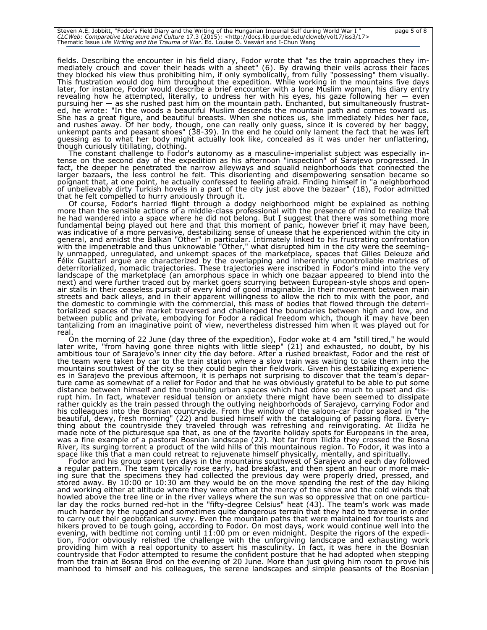Steven A.E. Jobbitt, "Fodor's Field Diary and the Writing of the Hungarian Imperial Self during World War I " page 5 of 8<br>*CLCWeb: Comparative Literature and Culture 17.3 (*2015): <http://docs.lib.purdue.edu/clcweb/vol17/i

fields. Describing the encounter in his field diary, Fodor wrote that "as the train approaches they immediately crouch and cover their heads with a sheet" (6). By drawing their veils across their faces they blocked his view thus prohibiting him, if only symbolically, from fully "possessing" them visually. This frustration would dog him throughout the expedition. While working in the mountains five days later, for instance, Fodor would describe a brief encounter with a lone Muslim woman, his diary entry revealing how he attempted, literally, to undress her with his eyes, his gaze following her — even pursuing her — as she rushed past him on the mountain path. Enchanted, but simultaneously frustrated, he wrote: "In the woods a beautiful Muslim descends the mountain path and comes toward us. She has a great figure, and beautiful breasts. When she notices us, she immediately hides her face, and rushes away. Of her body, though, one can really only guess, since it is covered by her baggy, unkempt pants and peasant shoes" (38-39). In the end he could only lament the fact that he was left guessing as to what her body might actually look like, concealed as it was under her unflattering, though curiously titillating, clothing.

The constant challenge to Fodor's autonomy as a masculine-imperialist subject was especially intense on the second day of the expedition as his afternoon "inspection" of Sarajevo progressed. In fact, the deeper he penetrated the narrow alleyways and squalid neighborhoods that connected the larger bazaars, the less control he felt. This disorienting and disempowering sensation became so poignant that, at one point, he actually confessed to feeling afraid. Finding himself in "a neighborhood of unbelievably dirty Turkish hovels in a part of the city just above the bazaar" (18), Fodor admitted that he felt compelled to hurry anxiously through it.

Of course, Fodor's harried flight through a dodgy neighborhood might be explained as nothing more than the sensible actions of a middle-class professional with the presence of mind to realize that he had wandered into a space where he did not belong. But I suggest that there was something more fundamental being played out here and that this moment of panic, however brief it may have been, was indicative of a more pervasive, destabilizing sense of unease that he experienced within the city in general, and amidst the Balkan "Other" in particular. Intimately linked to his frustrating confrontation with the impenetrable and thus unknowable "Other," what disrupted him in the city were the seemingly unmapped, unregulated, and unkempt spaces of the marketplace, spaces that Gilles Deleuze and Félix Guattari argue are characterized by the overlapping and inherently uncontrollable matrices of deterritorialized, nomadic trajectories. These trajectories were inscribed in Fodor's mind into the very landscape of the marketplace (an amorphous space in which one bazaar appeared to blend into the next) and were further traced out by market goers scurrying between European-style shops and openair stalls in their ceaseless pursuit of every kind of good imaginable. In their movement between main streets and back alleys, and in their apparent willingness to allow the rich to mix with the poor, and the domestic to commingle with the commercial, this mass of bodies that flowed through the deterritorialized spaces of the market traversed and challenged the boundaries between high and low, and between public and private, embodying for Fodor a radical freedom which, though it may have been tantalizing from an imaginative point of view, nevertheless distressed him when it was played out for real.

On the morning of 22 June (day three of the expedition), Fodor woke at 4 am "still tired," he would later write, "from having gone three nights with little sleep" (21) and exhausted, no doubt, by his ambitious tour of Sarajevo's inner city the day before. After a rushed breakfast, Fodor and the rest of the team were taken by car to the train station where a slow train was waiting to take them into the mountains southwest of the city so they could begin their fieldwork. Given his destabilizing experiences in Sarajevo the previous afternoon, it is perhaps not surprising to discover that the team's departure came as somewhat of a relief for Fodor and that he was obviously grateful to be able to put some distance between himself and the troubling urban spaces which had done so much to upset and disrupt him. In fact, whatever residual tension or anxiety there might have been seemed to dissipate rather quickly as the train passed through the outlying neighborhoods of Sarajevo, carrying Fodor and his colleagues into the Bosnian countryside. From the window of the saloon-car Fodor soaked in "the beautiful, dewy, fresh morning" (22) and busied himself with the cataloguing of passing flora. Everything about the countryside they traveled through was refreshing and reinvigorating. At Ilidža he made note of the picturesque spa that, as one of the favorite holiday spots for Europeans in the area, was a fine example of a pastoral Bosnian landscape (22). Not far from Ilidža they crossed the Bosna River, its surging torrent a product of the wild hills of this mountainous region. To Fodor, it was into a space like this that a man could retreat to rejuvenate himself physically, mentally, and spiritually.

Fodor and his group spent ten days in the mountains southwest of Sarajevo and each day followed a regular pattern. The team typically rose early, had breakfast, and then spent an hour or more making sure that the specimens they had collected the previous day were properly dried, pressed, and stored away. By 10:00 or 10:30 am they would be on the move spending the rest of the day hiking and working either at altitude where they were often at the mercy of the snow and the cold winds that howled above the tree line or in the river valleys where the sun was so oppressive that on one particular day the rocks burned red-hot in the "fifty-degree Celsius" heat (43). The team's work was made much harder by the rugged and sometimes quite dangerous terrain that they had to traverse in order to carry out their geobotanical survey. Even the mountain paths that were maintained for tourists and hikers proved to be tough going, according to Fodor. On most days, work would continue well into the evening, with bedtime not coming until 11:00 pm or even midnight. Despite the rigors of the expedition, Fodor obviously relished the challenge with the unforgiving landscape and exhausting work providing him with a real opportunity to assert his masculinity. In fact, it was here in the Bosnian countryside that Fodor attempted to resume the confident posture that he had adopted when stepping from the train at Bosna Brod on the evening of 20 June. More than just giving him room to prove his manhood to himself and his colleagues, the serene landscapes and simple peasants of the Bosnian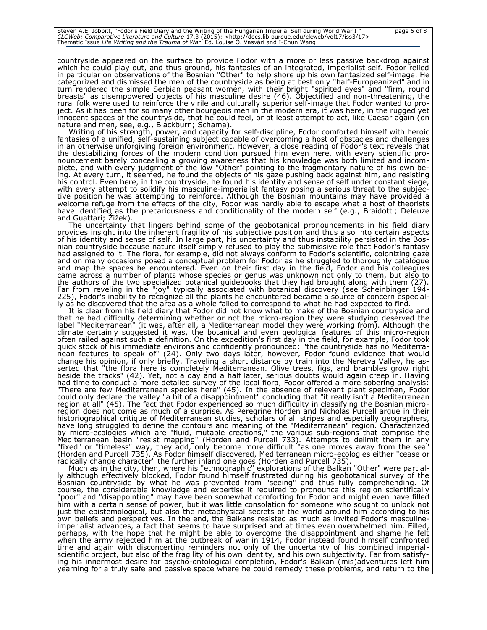Steven A.E. Jobbitt, "Fodor's Field Diary and the Writing of the Hungarian Imperial Self during World War I " page 6 of 8<br>*CLCWeb: Comparative Literature and Culture 17.3 (*2015): <http://docs.lib.purdue.edu/clcweb/vol17/i

countryside appeared on the surface to provide Fodor with a more or less passive backdrop against which he could play out, and thus ground, his fantasies of an integrated, imperialist self. Fodor relied in particular on observations of the Bosnian "Other" to help shore up his own fantasized self-image. He categorized and dismissed the men of the countryside as being at best only "half-Europeanized" and in turn rendered the simple Serbian peasant women, with their bright "spirited eyes" and "firm, round breasts" as disempowered objects of his masculine desire (46). Objectified and non-threatening, the rural folk were used to reinforce the virile and culturally superior self-image that Fodor wanted to project. As it has been for so many other bourgeois men in the modern era, it was here, in the rugged yet innocent spaces of the countryside, that he could feel, or at least attempt to act, like Caesar again (on nature and men, see, e.g., Blackburn; Schama).

Writing of his strength, power, and capacity for self-discipline, Fodor comforted himself with heroic fantasies of a unified, self-sustaining subject capable of overcoming a host of obstacles and challenges in an otherwise unforgiving foreign environment. However, a close reading of Fodor's text reveals that the destabilizing forces of the modern condition pursued him even here, with every scientific pronouncement barely concealing a growing awareness that his knowledge was both limited and incomplete, and with every judgment of the low "Other" pointing to the fragmentary nature of his own being. At every turn, it seemed, he found the objects of his gaze pushing back against him, and resisting his control. Even here, in the countryside, he found his identity and sense of self under constant siege, with every attempt to solidify his masculine-imperialist fantasy posing a serious threat to the subjective position he was attempting to reinforce. Although the Bosnian mountains may have provided a welcome refuge from the effects of the city, Fodor was hardly able to escape what a host of theorists have identified as the precariousness and conditionality of the modern self (e.g., Braidotti; Deleuze and Guattari; Žižek).

The uncertainty that lingers behind some of the geobotanical pronouncements in his field diary provides insight into the inherent fragility of his subjective position and thus also into certain aspects of his identity and sense of self. In large part, his uncertainty and thus instability persisted in the Bosnian countryside because nature itself simply refused to play the submissive role that Fodor's fantasy had assigned to it. The flora, for example, did not always conform to Fodor's scientific, colonizing gaze and on many occasions posed a conceptual problem for Fodor as he struggled to thoroughly catalogue and map the spaces he encountered. Even on their first day in the field, Fodor and his colleagues came across a number of plants whose species or genus was unknown not only to them, but also to the authors of the two specialized botanical guidebooks that they had brought along with them (27). Far from reveling in the "joy" typically associated with botanical discovery (see Scheinbinger 194- 225), Fodor's inability to recognize all the plants he encountered became a source of concern especially as he discovered that the area as a whole failed to correspond to what he had expected to find.

It is clear from his field diary that Fodor did not know what to make of the Bosnian countryside and that he had difficulty determining whether or not the micro-region they were studying deserved the label "Mediterranean" (it was, after all, a Mediterranean model they were working from). Although the climate certainly suggested it was, the botanical and even geological features of this micro-region often railed against such a definition. On the expedition's first day in the field, for example, Fodor took quick stock of his immediate environs and confidently pronounced: "the countryside has no Mediterranean features to speak of" (24). Only two days later, however, Fodor found evidence that would change his opinion, if only briefly. Traveling a short distance by train into the Neretva Valley, he asserted that "the flora here is completely Mediterranean. Olive trees, figs, and brambles grow right beside the tracks" (42). Yet, not a day and a half later, serious doubts would again creep in. Having had time to conduct a more detailed survey of the local flora, Fodor offered a more sobering analysis: "There are few Mediterranean species here" (45). In the absence of relevant plant specimen, Fodor could only declare the valley "a bit of a disappointment" concluding that "it really isn't a Mediterranean region at all" (45). The fact that Fodor experienced so much difficulty in classifying the Bosnian microregion does not come as much of a surprise. As Peregrine Horden and Nicholas Purcell argue in their historiographical critique of Mediterranean studies, scholars of all stripes and especially geographers, have long struggled to define the contours and meaning of the "Mediterranean" region. Characterized by micro-ecologies which are "fluid, mutable creations," the various sub-regions that comprise the Mediterranean basin "resist mapping" (Horden and Purcell 733). Attempts to delimit them in any "fixed" or "timeless" way, they add, only become more difficult "as one moves away from the sea" (Horden and Purcell 735). As Fodor himself discovered, Mediterranean micro-ecologies either "cease or radically change character" the further inland one goes (Horden and Purcell 735).

Much as in the city, then, where his "ethnographic" explorations of the Balkan "Other" were partially although effectively blocked, Fodor found himself frustrated during his geobotanical survey of the Bosnian countryside by what he was prevented from "seeing" and thus fully comprehending. Of course, the considerable knowledge and expertise it required to pronounce this region scientifically "poor" and "disappointing" may have been somewhat comforting for Fodor and might even have filled him with a certain sense of power, but it was little consolation for someone who sought to unlock not just the epistemological, but also the metaphysical secrets of the world around him according to his own beliefs and perspectives. In the end, the Balkans resisted as much as invited Fodor's masculineimperialist advances, a fact that seems to have surprised and at times even overwhelmed him. Filled, perhaps, with the hope that he might be able to overcome the disappointment and shame he felt when the army rejected him at the outbreak of war in 1914, Fodor instead found himself confronted time and again with disconcerting reminders not only of the uncertainty of his combined imperialscientific project, but also of the fragility of his own identity, and his own subjectivity. Far from satisfying his innermost desire for psycho-ontological completion, Fodor's Balkan (mis)adventures left him yearning for a truly safe and passive space where he could remedy these problems, and return to the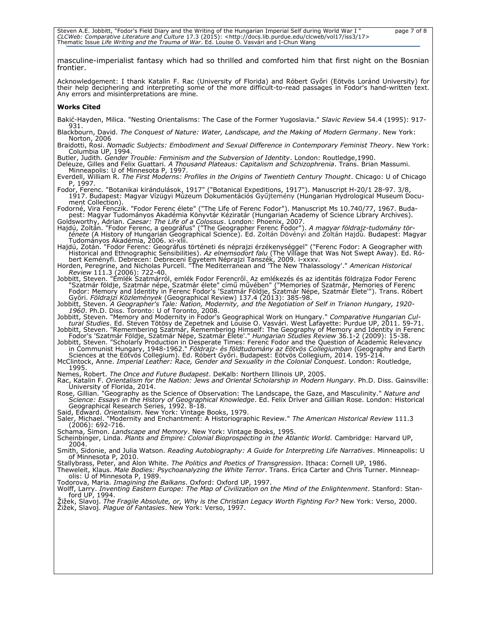Steven A.E. Jobbitt, "Fodor's Field Diary and the Writing of the Hungarian Imperial Self during World War I " page 7 of 8<br>*CLCWeb: Comparative Literature and Culture 17.3 (*2015): <http://docs.lib.purdue.edu/clcweb/vol17/i

masculine-imperialist fantasy which had so thrilled and comforted him that first night on the Bosnian frontier.

Acknowledgement: I thank Katalin F. Rac (University of Florida) and Róbert Győri (Eötvös Loránd University) for their help deciphering and interpreting some of the more difficult-to-read passages in Fodor's hand-written text. Any errors and misinterpretations are mine.

#### **Works Cited**

Bakić-Hayden, Milica. "Nesting Orientalisms: The Case of the Former Yugoslavia." *Slavic Review* 54.4 (1995): 917- 931.

Blackbourn, David. *The Conquest of Nature: Water, Landscape, and the Making of Modern Germany*. New York: Norton, 2006

Braidotti, Rosi. *Nomadic Subjects: Embodiment and Sexual Difference in Contemporary Feminist Theory*. New York: Columbia UP, 1994.

Butler, Judith. *Gender Trouble: Feminism and the Subversion of Identity*. London: Routledge,1990.

Deleuze, Gilles and Felix Guattari. *A Thousand Plateaus: Capitalism and Schizophrenia*. Trans. Brian Massumi. Minneapolis: U of Minnesota P, 1997.

Everdell, William R. *The First Moderns: Profiles in the Origins of Twentieth Century Thought*. Chicago: U of Chicago P, 1997.

Fodor, Ferenc. "Botanikai kirándulások, 1917" ("Botanical Expeditions, 1917"). Manuscript H-20/1 28-97. 3/8, 1917. Budapest: Magyar Vízügyi Múzeum Dokumentációs Gyűjtemény (Hungarian Hydrological Museum Document Collection).

Fodorné, Vira Fenczik. "Fodor Ferenc élete" ("The Life of Ferenc Fodor"). Manuscript Ms 10.740/77, 1967. Budapest: Magyar Tudományos Akadémia Könyvtár Kéziratár (Hungarian Academy of Science Library Archives).

Goldsworthy, Adrian. *Caesar: The Life of a Colossus*. London: Phoenix, 2007. Hajdú, Zoltán. "Fodor Ferenc, a geográfus" ("The Geographer Ferenc Fodor"). *A magyar földrajz-tudomány története* (A History of Hungarian Geographical Science). Ed. Zoltán Dövényi and Zoltán Hajdú. Budapest: Magyar Tudományos Akadémia, 2006. xi-xlii.

Hajdú, Zotán. "Fodor Ferenc: Geográfus történeti és néprajzi érzékenységgel" ("Ferenc Fodor: A Geographer with Historical and Ethnographic Sensibilities). *Az elnemsodort falu* (The Village that Was Not Swept Away). Ed. Róbert Keményfi. Debrecen: Debreceni Egyetem Néprajzi Tanszék, 2009. i-xxxv. Horden, Peregrine, and Nicholas Purcell. "The Mediterranean and 'The New Thalassology'." *American Historical*

*Review* 111.3 (2006): 722-40.

Jobbitt, Steven. "Emlék Szatmárról, emlék Fodor Ferencről. Az emlékezés és az identitás földrajza Fodor Ferenc "Szatmár földje, Szatmár népe, Szatmár élete" című művében" ("Memories of Szatmár, Memories of Ferenc Fodor: Memory and Identity in Ferenc Fodor's 'Szatmár Földje, Szatmár Népe, Szatmár Élete'"). Trans. Róbert Győri. *Földrajzi Közlemények* (Geographical Review) 137.4 (2013): 385-98.

Jobbitt, Steven. *A Geographer's Tale: Nation, Modernity, and the Negotiation of Self in Trianon Hungary, 1920- 1960*. Ph.D. Diss. Toronto: U of Toronto, 2008.

-Jobbitt, Steven. "Memory and Modernity in Fodor's Geographical Work on Hungary." Comparative Hungarian Cul-<br>159-17. tural Studies. Ed. Steven Tötösy de Zepetnek and Louise O. Vasvári. West Lafayette: Purdue UP, 2011. Jobbitt, Steven. "Remembering Szatmár, Remembering Himself: The Geography of Memory and Identity in Ferenc

Fodor's 'Szatmár Földje, Szatmár Népe, Szatmár Élete'." *Hungarian Studies Review* 36.1-2 (2009): 15-38. Jobbitt, Steven. "Scholarly Production in Desperate Times: Ferenc Fodor and the Question of Academic Relevancy in Communist Hungary, 1948-1962." *Földrajz- és földtudomány az Eötvös Collegiumban* (Geography and Earth

Sciences at the Eötvös Collegium). Ed. Róbert Győri. Budapest: Eötvös Collegium, 2014. 195-214. McClintock, Anne. *Imperial Leather: Race, Gender and Sexuality in the Colonial Conquest*. London: Routledge, 1995.

Nemes, Robert. *The Once and Future Budapest*. DeKalb: Northern Illinois UP, 2005.

Rac, Katalin F. *Orientalism for the Nation: Jews and Oriental Scholarship in Modern Hungary*. Ph.D. Diss. Gainsville: University of Florida, 2014.

Rose, Gillian. "Geography as the Science of Observation: The Landscape, the Gaze, and Masculinity." *Nature and Science: Essays in the History of Geographical Knowledge*. Ed. Felix Driver and Gillian Rose. London: Historical Geographical Research Series, 1992. 8-18.

Said, Edward. *Orientalism*. New York: Vintage Books, 1979. Saler, Michael. "Modernity and Enchantment: A Historiographic Review." *The American Historical Review* 111.3 (2006): 692-716.

Schama, Simon. *Landscape and Memory*. New York: Vintage Books, 1995.

Scheinbinger, Linda. *Plants and Empire: Colonial Bioprospecting in the Atlantic World.* Cambridge: Harvard UP, 2004.

Smith, Sidonie, and Julia Watson. *Reading Autobiography: A Guide for Interpreting Life Narratives*. Minneapolis: U of Minnesota P, 2010.

Stallybrass, Peter, and Alon White. *The Politics and Poetics of Transgression*. Ithaca: Cornell UP, 1986.

Theweleit, Klaus. *Male Bodies: Psychoanalyzing the White Terror*. Trans. Erica Carter and Chris Turner. Minneapolis: U of Minnesota P, 1989.

Todorova, Maria. *Imagining the Balkans*. Oxford: Oxford UP, 1997.

Wolff, Larry. *Inventing Eastern Europe: The Map of Civilization on the Mind of the Enlightenment*. Stanford: Stan-ford UP, 1994.

<sup>Ž</sup>ižek, Slavoj. *The Fragile Absolute, or, Why is the Christian Legacy Worth Fighting For?* New York: Verso, 2000. Žižek, Slavoj. *Plague of Fantasies*. New York: Verso, 1997.